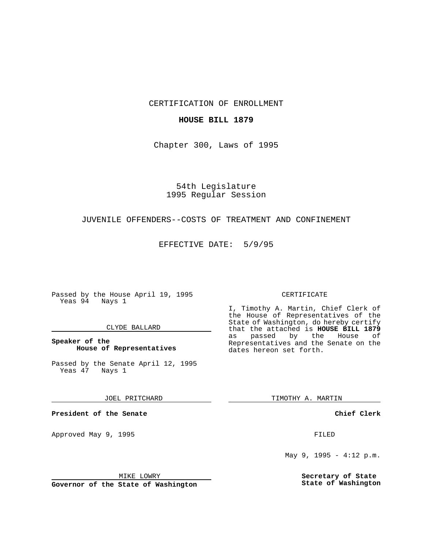CERTIFICATION OF ENROLLMENT

## **HOUSE BILL 1879**

Chapter 300, Laws of 1995

54th Legislature 1995 Regular Session

## JUVENILE OFFENDERS--COSTS OF TREATMENT AND CONFINEMENT

EFFECTIVE DATE: 5/9/95

Passed by the House April 19, 1995 Yeas 94 Nays 1

## CLYDE BALLARD

**Speaker of the House of Representatives**

Passed by the Senate April 12, 1995<br>Yeas 47 Nays 1 Yeas 47

JOEL PRITCHARD

**President of the Senate**

Approved May 9, 1995 **FILED** 

MIKE LOWRY

**Governor of the State of Washington**

#### CERTIFICATE

I, Timothy A. Martin, Chief Clerk of the House of Representatives of the State of Washington, do hereby certify that the attached is **HOUSE BILL 1879** as passed by the House of Representatives and the Senate on the dates hereon set forth.

TIMOTHY A. MARTIN

**Chief Clerk**

May 9, 1995 - 4:12 p.m.

**Secretary of State State of Washington**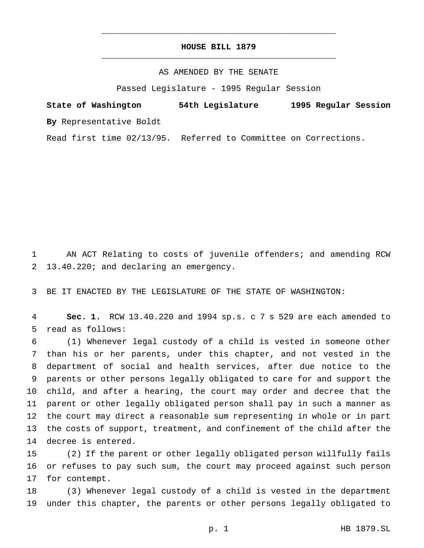# **HOUSE BILL 1879** \_\_\_\_\_\_\_\_\_\_\_\_\_\_\_\_\_\_\_\_\_\_\_\_\_\_\_\_\_\_\_\_\_\_\_\_\_\_\_\_\_\_\_\_\_\_\_

\_\_\_\_\_\_\_\_\_\_\_\_\_\_\_\_\_\_\_\_\_\_\_\_\_\_\_\_\_\_\_\_\_\_\_\_\_\_\_\_\_\_\_\_\_\_\_

## AS AMENDED BY THE SENATE

Passed Legislature - 1995 Regular Session

**State of Washington 54th Legislature 1995 Regular Session By** Representative Boldt

Read first time 02/13/95. Referred to Committee on Corrections.

 AN ACT Relating to costs of juvenile offenders; and amending RCW 13.40.220; and declaring an emergency.

BE IT ENACTED BY THE LEGISLATURE OF THE STATE OF WASHINGTON:

 **Sec. 1.** RCW 13.40.220 and 1994 sp.s. c 7 s 529 are each amended to read as follows:

 (1) Whenever legal custody of a child is vested in someone other than his or her parents, under this chapter, and not vested in the department of social and health services, after due notice to the parents or other persons legally obligated to care for and support the child, and after a hearing, the court may order and decree that the parent or other legally obligated person shall pay in such a manner as the court may direct a reasonable sum representing in whole or in part the costs of support, treatment, and confinement of the child after the decree is entered.

 (2) If the parent or other legally obligated person willfully fails or refuses to pay such sum, the court may proceed against such person for contempt.

 (3) Whenever legal custody of a child is vested in the department under this chapter, the parents or other persons legally obligated to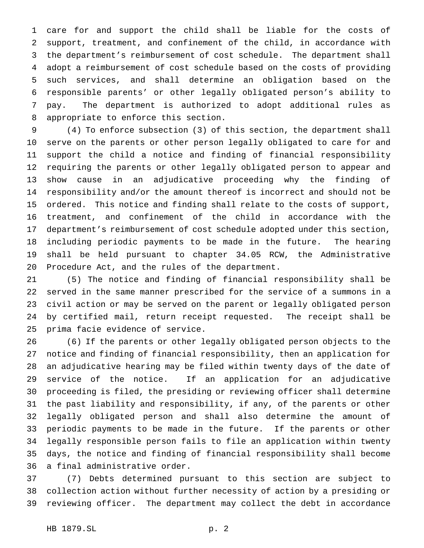care for and support the child shall be liable for the costs of support, treatment, and confinement of the child, in accordance with the department's reimbursement of cost schedule. The department shall adopt a reimbursement of cost schedule based on the costs of providing such services, and shall determine an obligation based on the responsible parents' or other legally obligated person's ability to pay. The department is authorized to adopt additional rules as appropriate to enforce this section.

 (4) To enforce subsection (3) of this section, the department shall serve on the parents or other person legally obligated to care for and support the child a notice and finding of financial responsibility requiring the parents or other legally obligated person to appear and show cause in an adjudicative proceeding why the finding of responsibility and/or the amount thereof is incorrect and should not be ordered. This notice and finding shall relate to the costs of support, treatment, and confinement of the child in accordance with the department's reimbursement of cost schedule adopted under this section, including periodic payments to be made in the future. The hearing shall be held pursuant to chapter 34.05 RCW, the Administrative Procedure Act, and the rules of the department.

 (5) The notice and finding of financial responsibility shall be served in the same manner prescribed for the service of a summons in a civil action or may be served on the parent or legally obligated person by certified mail, return receipt requested. The receipt shall be prima facie evidence of service.

 (6) If the parents or other legally obligated person objects to the notice and finding of financial responsibility, then an application for an adjudicative hearing may be filed within twenty days of the date of service of the notice. If an application for an adjudicative proceeding is filed, the presiding or reviewing officer shall determine the past liability and responsibility, if any, of the parents or other legally obligated person and shall also determine the amount of periodic payments to be made in the future. If the parents or other legally responsible person fails to file an application within twenty days, the notice and finding of financial responsibility shall become a final administrative order.

 (7) Debts determined pursuant to this section are subject to collection action without further necessity of action by a presiding or reviewing officer. The department may collect the debt in accordance